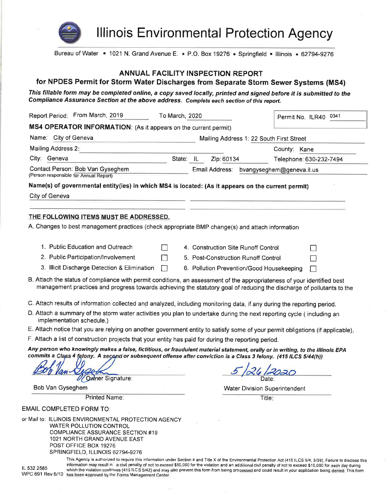

**Illinois Environmental Protection Agency** 

Bureau of Water • 1021 N. Grand Avenue E. • P.O. Box 19276 • Springfield • Illinois • 62794-9276

#### **ANNUAL FACILITY INSPECTION REPORT**

# for NPDES Permit for Storm Water Discharges from Separate Storm Sewer Systems (MS4)

This fillable form may be completed online, a copy saved locally, printed and signed before it is submitted to the Compliance Assurance Section at the above address. Complete each section of this report.

| Report Period: From March, 2019<br>To March, 2020                                                                                                                                                                                                                               |  |                                     |                | Permit No. ILR40 0341                     |                                          |
|---------------------------------------------------------------------------------------------------------------------------------------------------------------------------------------------------------------------------------------------------------------------------------|--|-------------------------------------|----------------|-------------------------------------------|------------------------------------------|
| MS4 OPERATOR INFORMATION: (As it appears on the current permit)                                                                                                                                                                                                                 |  |                                     |                |                                           |                                          |
| Name: City of Geneva                                                                                                                                                                                                                                                            |  |                                     |                |                                           | Mailing Address 1: 22 South First Street |
| Mailing Address 2:                                                                                                                                                                                                                                                              |  |                                     |                |                                           | County: Kane                             |
| City: Geneva                                                                                                                                                                                                                                                                    |  | State: IL                           | Zip: 60134     |                                           | Telephone: 630-232-7494                  |
| Contact Person: Bob Van Gyseghem<br>(Person responsible for Annual Report)                                                                                                                                                                                                      |  |                                     | Email Address: |                                           | bvangyseghem@geneva.il.us                |
| Name(s) of governmental entity(ies) in which MS4 is located: (As it appears on the current permit)                                                                                                                                                                              |  |                                     |                |                                           |                                          |
| City of Geneva                                                                                                                                                                                                                                                                  |  |                                     |                |                                           |                                          |
|                                                                                                                                                                                                                                                                                 |  |                                     |                |                                           |                                          |
| THE FOLLOWING ITEMS MUST BE ADDRESSED.                                                                                                                                                                                                                                          |  |                                     |                |                                           |                                          |
| A. Changes to best management practices (check appropriate BMP change(s) and attach information                                                                                                                                                                                 |  |                                     |                |                                           |                                          |
|                                                                                                                                                                                                                                                                                 |  |                                     |                |                                           |                                          |
| 1. Public Education and Outreach                                                                                                                                                                                                                                                |  | 4. Construction Site Runoff Control |                |                                           |                                          |
| 2. Public Participation/Involvement                                                                                                                                                                                                                                             |  | 5. Post-Construction Runoff Control |                |                                           |                                          |
| 3. Illicit Discharge Detection & Elimination                                                                                                                                                                                                                                    |  |                                     |                | 6. Pollution Prevention/Good Housekeeping |                                          |
| B. Attach the status of compliance with permit conditions, an assessment of the appropriateness of your identified best<br>management practices and progress towards achieving the statutory goal of reducing the discharge of pollutants to the                                |  |                                     |                |                                           |                                          |
| C. Attach results of information collected and analyzed, including monitoring data, if any during the reporting period.                                                                                                                                                         |  |                                     |                |                                           |                                          |
| D. Attach a summary of the storm water activities you plan to undertake during the next reporting cycle (including an<br>implementation schedule.)                                                                                                                              |  |                                     |                |                                           |                                          |
| E. Attach notice that you are relying on another government entity to satisfy some of your permit obligations (if applicable).                                                                                                                                                  |  |                                     |                |                                           |                                          |
| F. Attach a list of construction projects that your entity has paid for during the reporting period.                                                                                                                                                                            |  |                                     |                |                                           |                                          |
| Any person who knowingly makes a false, fictitious, or fraudulent material statement, orally or in writing, to the Illinois EPA<br>commits a Class 4 felony. A second or subsequent offense after conviction is a Class 3 felony. (415 ILCS 5/44(h))<br><b>Owner Signature:</b> |  |                                     |                |                                           |                                          |
| Bob Van Gyseghem                                                                                                                                                                                                                                                                |  |                                     |                |                                           | <b>Water Division Superintendent</b>     |
| Printed Name:                                                                                                                                                                                                                                                                   |  |                                     |                | Title:                                    |                                          |
| <b>EMAIL COMPLETED FORM TO:</b>                                                                                                                                                                                                                                                 |  |                                     |                |                                           |                                          |
| or Mail to: ILLINOIS ENVIRONMENTAL PROTECTION AGENCY<br><b>WATER POLLUTION CONTROL</b><br><b>COMPLIANCE ASSURANCE SECTION #19</b><br>1021 NORTH GRAND AVENUE EAST<br>POST OFFICE BOX 19276<br>SPRINGFIELD, ILLINOIS 62794-9276                                                  |  |                                     |                |                                           |                                          |

IL 532 2585

This Agency is authorized to require this information under Section 4 and Title X of the Environmental Protection Act (415 ILCS 5/4, 5/39), Failure to disclose this information may result in: a civil penalty of not to exceed \$50,000 for the violation and an additional civil penalty of not to exceed \$10,000 for each day during which the violation continues (415 ILCS 5/42) and may also prevent this form from being processed and could result in your application being denied. This form WPC 691 Rev 6/10 has been approved by the Forms Management Center.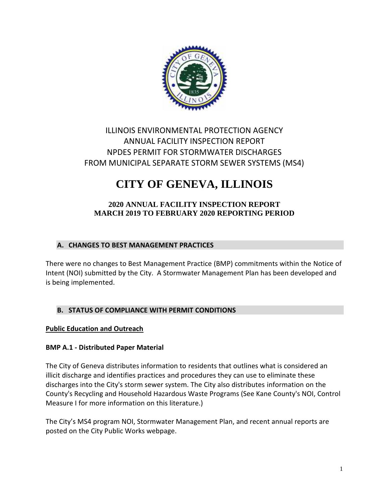

# ILLINOIS ENVIRONMENTAL PROTECTION AGENCY ANNUAL FACILITY INSPECTION REPORT NPDES PERMIT FOR STORMWATER DISCHARGES FROM MUNICIPAL SEPARATE STORM SEWER SYSTEMS (MS4)

# **CITY OF GENEVA, ILLINOIS**

# **2020 ANNUAL FACILITY INSPECTION REPORT MARCH 2019 TO FEBRUARY 2020 REPORTING PERIOD**

# **A. CHANGES TO BEST MANAGEMENT PRACTICES**

There were no changes to Best Management Practice (BMP) commitments within the Notice of Intent (NOI) submitted by the City. A Stormwater Management Plan has been developed and is being implemented.

#### **B. STATUS OF COMPLIANCE WITH PERMIT CONDITIONS**

#### **Public Education and Outreach**

#### **BMP A.1 - Distributed Paper Material**

The City of Geneva distributes information to residents that outlines what is considered an illicit discharge and identifies practices and procedures they can use to eliminate these discharges into the City's storm sewer system. The City also distributes information on the County's Recycling and Household Hazardous Waste Programs (See Kane County's NOI, Control Measure I for more information on this literature.)

The City's MS4 program NOI, Stormwater Management Plan, and recent annual reports are posted on the City Public Works webpage.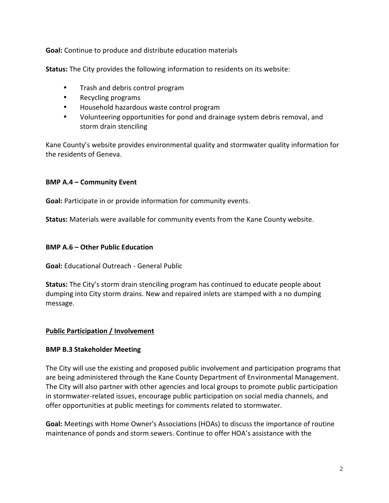**Goal:** Continue to produce and distribute education materials

**Status:** The City provides the following information to residents on its website:

- Trash and debris control program
- Recycling programs
- Household hazardous waste control program
- Volunteering opportunities for pond and drainage system debris removal, and storm drain stenciling

Kane County's website provides environmental quality and stormwater quality information for the residents of Geneva.

# **BMP A.4 – Community Event**

**Goal:** Participate in or provide information for community events.

**Status:** Materials were available for community events from the Kane County website.

#### **BMP A.6 – Other Public Education**

**Goal:** Educational Outreach - General Public

**Status:** The City's storm drain stenciling program has continued to educate people about dumping into City storm drains. New and repaired inlets are stamped with a no dumping message.

#### **Public Participation / Involvement**

#### **BMP B.3 Stakeholder Meeting**

The City will use the existing and proposed public involvement and participation programs that are being administered through the Kane County Department of Environmental Management. The City will also partner with other agencies and local groups to promote public participation in stormwater-related issues, encourage public participation on social media channels, and offer opportunities at public meetings for comments related to stormwater.

**Goal:** Meetings with Home Owner's Associations (HOAs) to discuss the importance of routine maintenance of ponds and storm sewers. Continue to offer HOA's assistance with the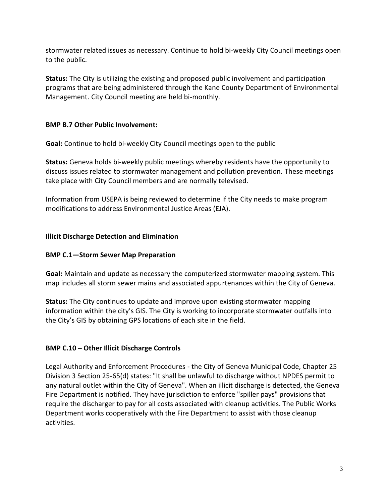stormwater related issues as necessary. Continue to hold bi-weekly City Council meetings open to the public.

**Status:** The City is utilizing the existing and proposed public involvement and participation programs that are being administered through the Kane County Department of Environmental Management. City Council meeting are held bi-monthly.

### **BMP B.7 Other Public Involvement:**

**Goal:** Continue to hold bi-weekly City Council meetings open to the public

**Status:** Geneva holds bi-weekly public meetings whereby residents have the opportunity to discuss issues related to stormwater management and pollution prevention. These meetings take place with City Council members and are normally televised.

Information from USEPA is being reviewed to determine if the City needs to make program modifications to address Environmental Justice Areas (EJA).

# **Illicit Discharge Detection and Elimination**

# **BMP C.1—Storm Sewer Map Preparation**

**Goal:** Maintain and update as necessary the computerized stormwater mapping system. This map includes all storm sewer mains and associated appurtenances within the City of Geneva.

**Status:** The City continues to update and improve upon existing stormwater mapping information within the city's GIS. The City is working to incorporate stormwater outfalls into the City's GIS by obtaining GPS locations of each site in the field.

# **BMP C.10 – Other Illicit Discharge Controls**

Legal Authority and Enforcement Procedures - the City of Geneva Municipal Code, Chapter 25 Division 3 Section 25-65(d) states: "It shall be unlawful to discharge without NPDES permit to any natural outlet within the City of Geneva". When an illicit discharge is detected, the Geneva Fire Department is notified. They have jurisdiction to enforce "spiller pays" provisions that require the discharger to pay for all costs associated with cleanup activities. The Public Works Department works cooperatively with the Fire Department to assist with those cleanup activities.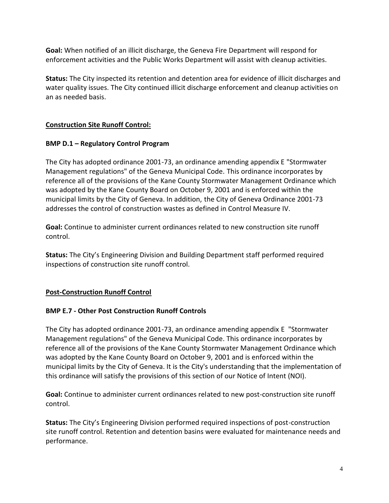**Goal:** When notified of an illicit discharge, the Geneva Fire Department will respond for enforcement activities and the Public Works Department will assist with cleanup activities.

**Status:** The City inspected its retention and detention area for evidence of illicit discharges and water quality issues. The City continued illicit discharge enforcement and cleanup activities on an as needed basis.

# **Construction Site Runoff Control:**

# **BMP D.1 – Regulatory Control Program**

The City has adopted ordinance 2001-73, an ordinance amending appendix E "Stormwater Management regulations" of the Geneva Municipal Code. This ordinance incorporates by reference all of the provisions of the Kane County Stormwater Management Ordinance which was adopted by the Kane County Board on October 9, 2001 and is enforced within the municipal limits by the City of Geneva. In addition, the City of Geneva Ordinance 2001-73 addresses the control of construction wastes as defined in Control Measure IV.

**Goal:** Continue to administer current ordinances related to new construction site runoff control.

**Status:** The City's Engineering Division and Building Department staff performed required inspections of construction site runoff control.

#### **Post-Construction Runoff Control**

#### **BMP E.7 - Other Post Construction Runoff Controls**

The City has adopted ordinance 2001-73, an ordinance amending appendix E "Stormwater Management regulations" of the Geneva Municipal Code. This ordinance incorporates by reference all of the provisions of the Kane County Stormwater Management Ordinance which was adopted by the Kane County Board on October 9, 2001 and is enforced within the municipal limits by the City of Geneva. It is the City's understanding that the implementation of this ordinance will satisfy the provisions of this section of our Notice of Intent (NOI).

**Goal:** Continue to administer current ordinances related to new post-construction site runoff control.

**Status:** The City's Engineering Division performed required inspections of post-construction site runoff control. Retention and detention basins were evaluated for maintenance needs and performance.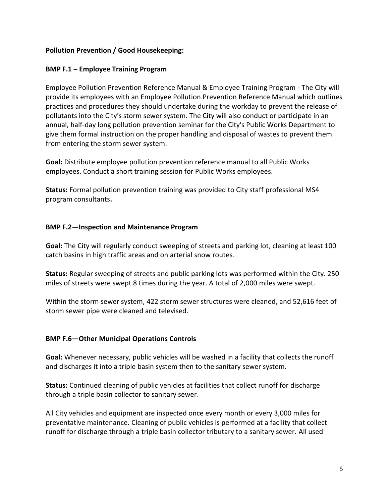#### **Pollution Prevention / Good Housekeeping:**

#### **BMP F.1 – Employee Training Program**

Employee Pollution Prevention Reference Manual & Employee Training Program - The City will provide its employees with an Employee Pollution Prevention Reference Manual which outlines practices and procedures they should undertake during the workday to prevent the release of pollutants into the City's storm sewer system. The City will also conduct or participate in an annual, half-day long pollution prevention seminar for the City's Public Works Department to give them formal instruction on the proper handling and disposal of wastes to prevent them from entering the storm sewer system.

**Goal:** Distribute employee pollution prevention reference manual to all Public Works employees. Conduct a short training session for Public Works employees.

**Status:** Formal pollution prevention training was provided to City staff professional MS4 program consultants**.**

#### **BMP F.2—Inspection and Maintenance Program**

**Goal:** The City will regularly conduct sweeping of streets and parking lot, cleaning at least 100 catch basins in high traffic areas and on arterial snow routes.

**Status:** Regular sweeping of streets and public parking lots was performed within the City. 250 miles of streets were swept 8 times during the year. A total of 2,000 miles were swept.

Within the storm sewer system, 422 storm sewer structures were cleaned, and 52,616 feet of storm sewer pipe were cleaned and televised.

#### **BMP F.6—Other Municipal Operations Controls**

**Goal:** Whenever necessary, public vehicles will be washed in a facility that collects the runoff and discharges it into a triple basin system then to the sanitary sewer system.

**Status:** Continued cleaning of public vehicles at facilities that collect runoff for discharge through a triple basin collector to sanitary sewer.

All City vehicles and equipment are inspected once every month or every 3,000 miles for preventative maintenance. Cleaning of public vehicles is performed at a facility that collect runoff for discharge through a triple basin collector tributary to a sanitary sewer. All used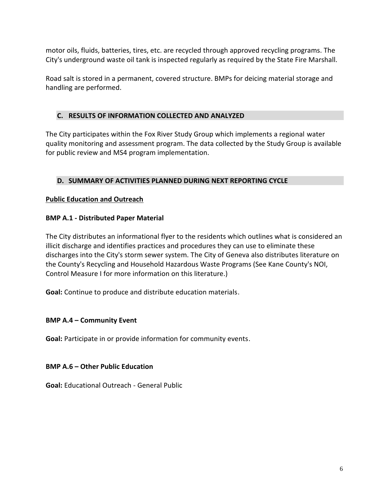motor oils, fluids, batteries, tires, etc. are recycled through approved recycling programs. The City's underground waste oil tank is inspected regularly as required by the State Fire Marshall.

Road salt is stored in a permanent, covered structure. BMPs for deicing material storage and handling are performed.

# **C. RESULTS OF INFORMATION COLLECTED AND ANALYZED**

The City participates within the Fox River Study Group which implements a regional water quality monitoring and assessment program. The data collected by the Study Group is available for public review and MS4 program implementation.

# **D. SUMMARY OF ACTIVITIES PLANNED DURING NEXT REPORTING CYCLE**

# **Public Education and Outreach**

# **BMP A.1 - Distributed Paper Material**

The City distributes an informational flyer to the residents which outlines what is considered an illicit discharge and identifies practices and procedures they can use to eliminate these discharges into the City's storm sewer system. The City of Geneva also distributes literature on the County's Recycling and Household Hazardous Waste Programs (See Kane County's NOI, Control Measure I for more information on this literature.)

**Goal:** Continue to produce and distribute education materials.

#### **BMP A.4 – Community Event**

**Goal:** Participate in or provide information for community events.

#### **BMP A.6 – Other Public Education**

**Goal:** Educational Outreach - General Public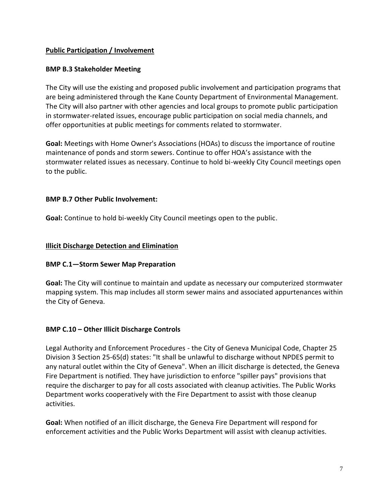#### **Public Participation / Involvement**

#### **BMP B.3 Stakeholder Meeting**

The City will use the existing and proposed public involvement and participation programs that are being administered through the Kane County Department of Environmental Management. The City will also partner with other agencies and local groups to promote public participation in stormwater-related issues, encourage public participation on social media channels, and offer opportunities at public meetings for comments related to stormwater.

**Goal:** Meetings with Home Owner's Associations (HOAs) to discuss the importance of routine maintenance of ponds and storm sewers. Continue to offer HOA's assistance with the stormwater related issues as necessary. Continue to hold bi-weekly City Council meetings open to the public.

#### **BMP B.7 Other Public Involvement:**

**Goal:** Continue to hold bi-weekly City Council meetings open to the public.

#### **Illicit Discharge Detection and Elimination**

#### **BMP C.1—Storm Sewer Map Preparation**

**Goal:** The City will continue to maintain and update as necessary our computerized stormwater mapping system. This map includes all storm sewer mains and associated appurtenances within the City of Geneva.

#### **BMP C.10 – Other Illicit Discharge Controls**

Legal Authority and Enforcement Procedures -the City of Geneva Municipal Code, Chapter 25 Division 3 Section 25-65(d) states: "It shall be unlawful to discharge without NPDES permit to any natural outlet within the City of Geneva". When an illicit discharge is detected, the Geneva Fire Department is notified. They have jurisdiction to enforce "spiller pays" provisions that require the discharger to pay for all costs associated with cleanup activities. The Public Works Department works cooperatively with the Fire Department to assist with those cleanup activities.

**Goal:** When notified of an illicit discharge, the Geneva Fire Department will respond for enforcement activities and the Public Works Department will assist with cleanup activities.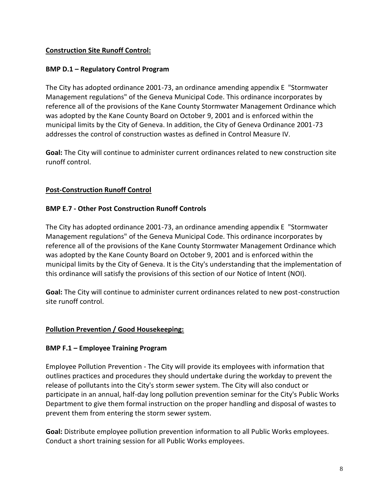### **Construction Site Runoff Control:**

#### **BMP D.1 – Regulatory Control Program**

The City has adopted ordinance 2001-73, an ordinance amending appendix E "Stormwater Management regulations" of the Geneva Municipal Code. This ordinance incorporates by reference all of the provisions of the Kane County Stormwater Management Ordinance which was adopted by the Kane County Board on October 9, 2001 and is enforced within the municipal limits by the City of Geneva. In addition, the City of Geneva Ordinance 2001-73 addresses the control of construction wastes as defined in Control Measure IV.

**Goal:** The City will continue to administer current ordinances related to new construction site runoff control.

#### **Post-Construction Runoff Control**

#### **BMP E.7 - Other Post Construction Runoff Controls**

The City has adopted ordinance 2001-73, an ordinance amending appendix E "Stormwater Management regulations" of the Geneva Municipal Code. This ordinance incorporates by reference all of the provisions of the Kane County Stormwater Management Ordinance which was adopted by the Kane County Board on October 9, 2001 and is enforced within the municipal limits by the City of Geneva. It is the City's understanding that the implementation of this ordinance will satisfy the provisions of this section of our Notice of Intent (NOI).

**Goal:** The City will continue to administer current ordinances related to new post-construction site runoff control.

#### **Pollution Prevention / Good Housekeeping:**

#### **BMP F.1 – Employee Training Program**

Employee Pollution Prevention - The City will provide its employees with information that outlines practices and procedures they should undertake during the workday to prevent the release of pollutants into the City's storm sewer system. The City will also conduct or participate in an annual, half-day long pollution prevention seminar for the City's Public Works Department to give them formal instruction on the proper handling and disposal of wastes to prevent them from entering the storm sewer system.

**Goal:** Distribute employee pollution prevention information to all Public Works employees. Conduct a short training session for all Public Works employees.